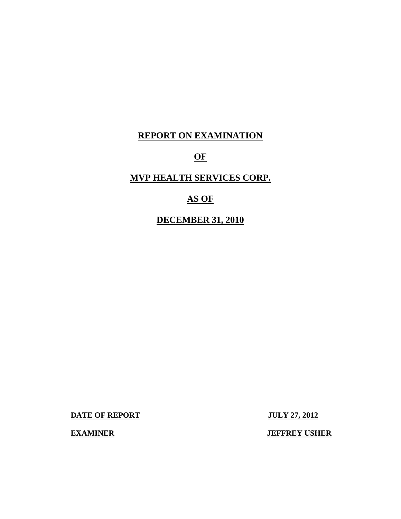# **REPORT ON EXAMINATION**

# **OF**

# **MVP HEALTH SERVICES CORP.**

# **AS OF**

# **DECEMBER 31, 2010**

**DATE OF REPORT JULY 27, 2012** 

**EXAMINER** JEFFREY USHER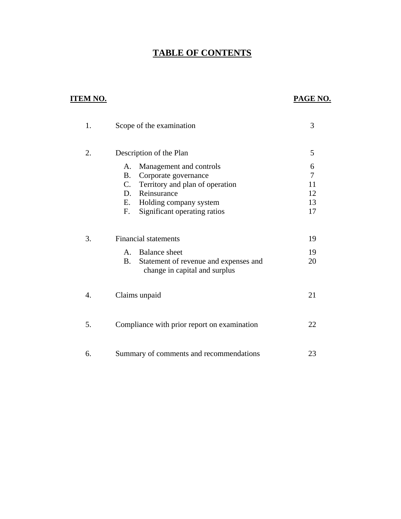# **TABLE OF CONTENTS**

# **ITEM NO. PAGE NO.**

| 1. | Scope of the examination                                                     | 3      |
|----|------------------------------------------------------------------------------|--------|
| 2. | Description of the Plan                                                      | 5      |
|    | Management and controls<br>A.                                                | 6<br>7 |
|    | Corporate governance<br>В.<br>$C_{\cdot}$                                    | 11     |
|    | Territory and plan of operation<br>Reinsurance<br>D.                         | 12     |
|    | Е.                                                                           | 13     |
|    | Holding company system<br>Significant operating ratios<br>F.                 | 17     |
| 3. | <b>Financial statements</b>                                                  | 19     |
|    |                                                                              |        |
|    | <b>Balance</b> sheet<br>$A_{-}$                                              | 19     |
|    | Statement of revenue and expenses and<br>B.<br>change in capital and surplus | 20     |
| 4. | Claims unpaid                                                                | 21     |
| 5. | Compliance with prior report on examination                                  | 22     |
| 6. | Summary of comments and recommendations                                      | 23     |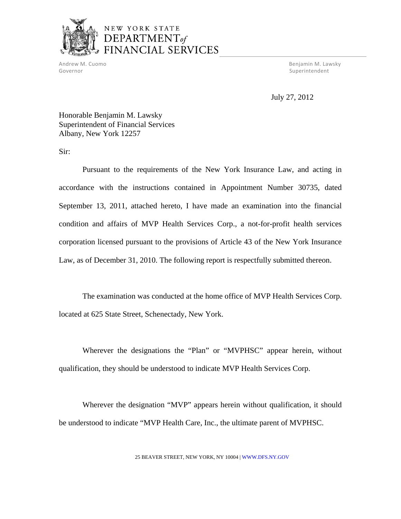

Governor Superintendent and Superintendent Superintendent Superintendent Superintendent Superintendent Superintendent

Andrew M. Cuomo Benjamin M. Lawsky

July 27, 2012

Honorable Benjamin M. Lawsky Superintendent of Financial Services Albany, New York 12257

Sir:

Pursuant to the requirements of the New York Insurance Law, and acting in accordance with the instructions contained in Appointment Number 30735, dated September 13, 2011, attached hereto, I have made an examination into the financial condition and affairs of MVP Health Services Corp., a not-for-profit health services corporation licensed pursuant to the provisions of Article 43 of the New York Insurance Law, as of December 31, 2010. The following report is respectfully submitted thereon.

The examination was conducted at the home office of MVP Health Services Corp. located at 625 State Street, Schenectady, New York.

Wherever the designations the "Plan" or "MVPHSC" appear herein, without qualification, they should be understood to indicate MVP Health Services Corp.

Wherever the designation "MVP" appears herein without qualification, it should be understood to indicate "MVP Health Care, Inc., the ultimate parent of MVPHSC.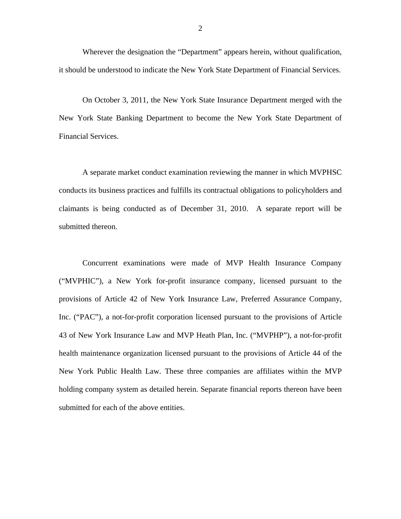Wherever the designation the "Department" appears herein, without qualification, it should be understood to indicate the New York State Department of Financial Services.

On October 3, 2011, the New York State Insurance Department merged with the New York State Banking Department to become the New York State Department of Financial Services.

A separate market conduct examination reviewing the manner in which MVPHSC conducts its business practices and fulfills its contractual obligations to policyholders and claimants is being conducted as of December 31, 2010. A separate report will be submitted thereon.

Concurrent examinations were made of MVP Health Insurance Company ("MVPHIC"), a New York for-profit insurance company, licensed pursuant to the provisions of Article 42 of New York Insurance Law, Preferred Assurance Company, Inc. ("PAC"), a not-for-profit corporation licensed pursuant to the provisions of Article 43 of New York Insurance Law and MVP Heath Plan, Inc. ("MVPHP"), a not-for-profit health maintenance organization licensed pursuant to the provisions of Article 44 of the New York Public Health Law. These three companies are affiliates within the MVP holding company system as detailed herein. Separate financial reports thereon have been submitted for each of the above entities.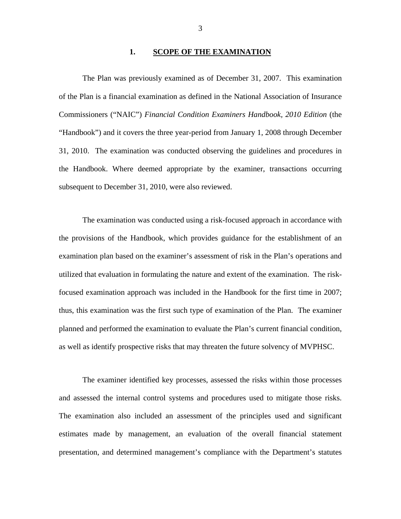#### **1. SCOPE OF THE EXAMINATION**

The Plan was previously examined as of December 31, 2007. This examination of the Plan is a financial examination as defined in the National Association of Insurance Commissioners ("NAIC") *Financial Condition Examiners Handbook, 2010 Edition* (the "Handbook") and it covers the three year-period from January 1, 2008 through December 31, 2010. The examination was conducted observing the guidelines and procedures in the Handbook. Where deemed appropriate by the examiner, transactions occurring subsequent to December 31, 2010, were also reviewed.

The examination was conducted using a risk-focused approach in accordance with the provisions of the Handbook, which provides guidance for the establishment of an examination plan based on the examiner's assessment of risk in the Plan's operations and utilized that evaluation in formulating the nature and extent of the examination. The riskfocused examination approach was included in the Handbook for the first time in 2007; thus, this examination was the first such type of examination of the Plan. The examiner planned and performed the examination to evaluate the Plan's current financial condition, as well as identify prospective risks that may threaten the future solvency of MVPHSC.

The examiner identified key processes, assessed the risks within those processes and assessed the internal control systems and procedures used to mitigate those risks. The examination also included an assessment of the principles used and significant estimates made by management, an evaluation of the overall financial statement presentation, and determined management's compliance with the Department's statutes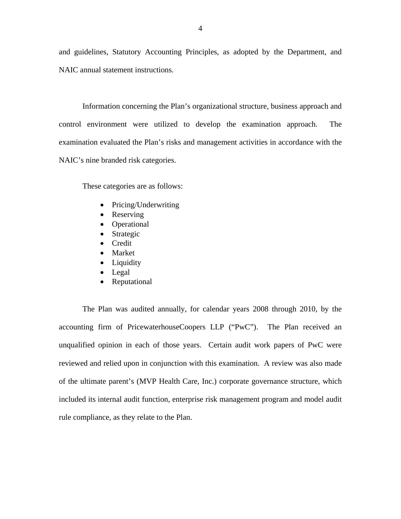and guidelines, Statutory Accounting Principles, as adopted by the Department, and NAIC annual statement instructions.

Information concerning the Plan's organizational structure, business approach and control environment were utilized to develop the examination approach. The examination evaluated the Plan's risks and management activities in accordance with the NAIC's nine branded risk categories.

These categories are as follows:

- Pricing/Underwriting
- Reserving
- Operational
- Strategic
- Credit
- Market
- Liquidity
- Legal
- Reputational

The Plan was audited annually, for calendar years 2008 through 2010, by the accounting firm of PricewaterhouseCoopers LLP ("PwC"). The Plan received an unqualified opinion in each of those years. Certain audit work papers of PwC were reviewed and relied upon in conjunction with this examination. A review was also made of the ultimate parent's (MVP Health Care, Inc.) corporate governance structure, which included its internal audit function, enterprise risk management program and model audit rule compliance, as they relate to the Plan.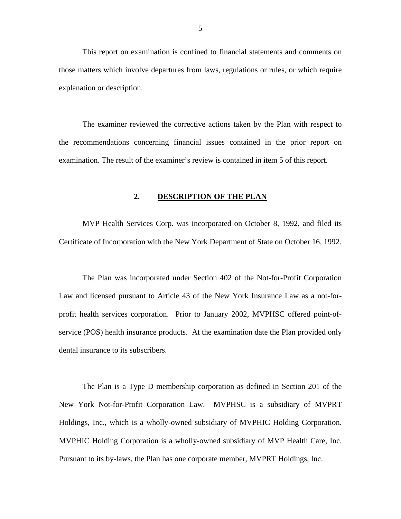<span id="page-6-0"></span>This report on examination is confined to financial statements and comments on those matters which involve departures from laws, regulations or rules, or which require explanation or description.

The examiner reviewed the corrective actions taken by the Plan with respect to the recommendations concerning financial issues contained in the prior report on examination. The result of the examiner's review is contained in item 5 of this report.

#### 2. **DESCRIPTION OF THE PLAN**

MVP Health Services Corp. was incorporated on October 8, 1992, and filed its Certificate of Incorporation with the New York Department of State on October 16, 1992.

The Plan was incorporated under Section 402 of the Not-for-Profit Corporation Law and licensed pursuant to Article 43 of the New York Insurance Law as a not-forprofit health services corporation. Prior to January 2002, MVPHSC offered point-ofservice (POS) health insurance products. At the examination date the Plan provided only dental insurance to its subscribers.

The Plan is a Type D membership corporation as defined in Section 201 of the New York Not-for-Profit Corporation Law. MVPHSC is a subsidiary of MVPRT Holdings, Inc., which is a wholly-owned subsidiary of MVPHIC Holding Corporation. MVPHIC Holding Corporation is a wholly-owned subsidiary of MVP Health Care, Inc. Pursuant to its by-laws, the Plan has one corporate member, MVPRT Holdings, Inc.

5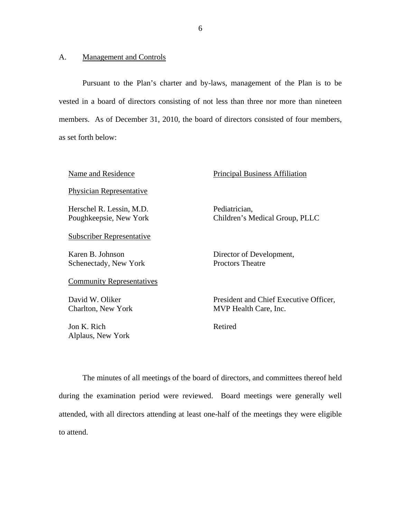#### <span id="page-7-0"></span>A. Management and Controls

Alplaus, New York

Pursuant to the Plan's charter and by-laws, management of the Plan is to be vested in a board of directors consisting of not less than three nor more than nineteen members. As of December 31, 2010, the board of directors consisted of four members, as set forth below:

| Name and Residence                                 | <b>Principal Business Affiliation</b>                           |
|----------------------------------------------------|-----------------------------------------------------------------|
| <b>Physician Representative</b>                    |                                                                 |
| Herschel R. Lessin, M.D.<br>Poughkeepsie, New York | Pediatrician,<br>Children's Medical Group, PLLC                 |
| <b>Subscriber Representative</b>                   |                                                                 |
| Karen B. Johnson<br>Schenectady, New York          | Director of Development,<br><b>Proctors Theatre</b>             |
| <b>Community Representatives</b>                   |                                                                 |
| David W. Oliker<br>Charlton, New York              | President and Chief Executive Officer,<br>MVP Health Care, Inc. |
| Jon K. Rich                                        | Retired                                                         |

The minutes of all meetings of the board of directors, and committees thereof held during the examination period were reviewed. Board meetings were generally well attended, with all directors attending at least one-half of the meetings they were eligible to attend.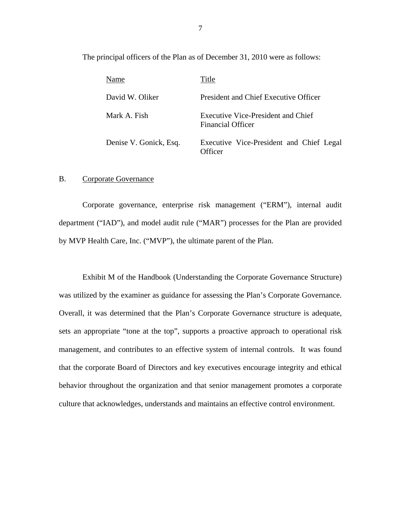<span id="page-8-0"></span>The principal officers of the Plan as of December 31, 2010 were as follows:

| Name                   | Title                                                          |
|------------------------|----------------------------------------------------------------|
| David W. Oliker        | President and Chief Executive Officer                          |
| Mark A. Fish           | Executive Vice-President and Chief<br><b>Financial Officer</b> |
| Denise V. Gonick, Esq. | Executive Vice-President and Chief Legal<br>)fficer            |

#### B. Corporate Governance

Corporate governance, enterprise risk management ("ERM"), internal audit department ("IAD"), and model audit rule ("MAR") processes for the Plan are provided by MVP Health Care, Inc. ("MVP"), the ultimate parent of the Plan.

Exhibit M of the Handbook (Understanding the Corporate Governance Structure) was utilized by the examiner as guidance for assessing the Plan's Corporate Governance. Overall, it was determined that the Plan's Corporate Governance structure is adequate, sets an appropriate "tone at the top", supports a proactive approach to operational risk management, and contributes to an effective system of internal controls. It was found that the corporate Board of Directors and key executives encourage integrity and ethical behavior throughout the organization and that senior management promotes a corporate culture that acknowledges, understands and maintains an effective control environment.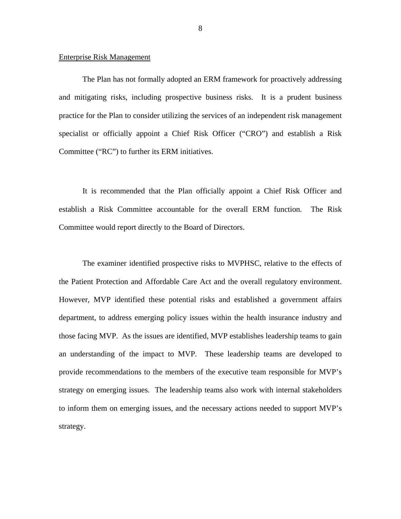#### Enterprise Risk Management

The Plan has not formally adopted an ERM framework for proactively addressing and mitigating risks, including prospective business risks. It is a prudent business practice for the Plan to consider utilizing the services of an independent risk management specialist or officially appoint a Chief Risk Officer ("CRO") and establish a Risk Committee ("RC") to further its ERM initiatives.

It is recommended that the Plan officially appoint a Chief Risk Officer and establish a Risk Committee accountable for the overall ERM function. The Risk Committee would report directly to the Board of Directors.

The examiner identified prospective risks to MVPHSC, relative to the effects of the Patient Protection and Affordable Care Act and the overall regulatory environment. However, MVP identified these potential risks and established a government affairs department, to address emerging policy issues within the health insurance industry and those facing MVP. As the issues are identified, MVP establishes leadership teams to gain an understanding of the impact to MVP. These leadership teams are developed to provide recommendations to the members of the executive team responsible for MVP's strategy on emerging issues. The leadership teams also work with internal stakeholders to inform them on emerging issues, and the necessary actions needed to support MVP's strategy.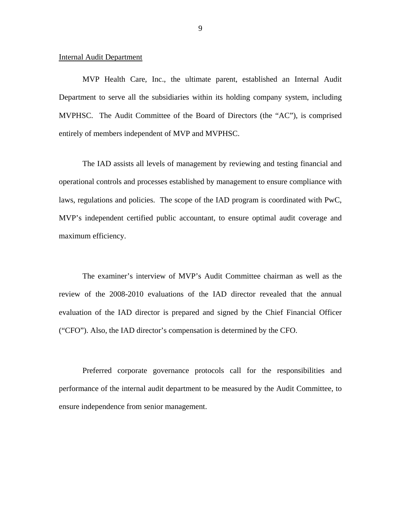#### **Internal Audit Department**

MVP Health Care, Inc., the ultimate parent, established an Internal Audit Department to serve all the subsidiaries within its holding company system, including MVPHSC. The Audit Committee of the Board of Directors (the "AC"), is comprised entirely of members independent of MVP and MVPHSC.

The IAD assists all levels of management by reviewing and testing financial and operational controls and processes established by management to ensure compliance with laws, regulations and policies. The scope of the IAD program is coordinated with PwC, MVP's independent certified public accountant, to ensure optimal audit coverage and maximum efficiency.

The examiner's interview of MVP's Audit Committee chairman as well as the review of the 2008-2010 evaluations of the IAD director revealed that the annual evaluation of the IAD director is prepared and signed by the Chief Financial Officer ("CFO"). Also, the IAD director's compensation is determined by the CFO.

Preferred corporate governance protocols call for the responsibilities and performance of the internal audit department to be measured by the Audit Committee, to ensure independence from senior management.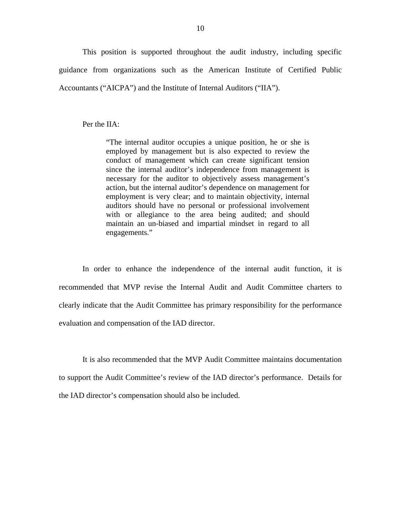This position is supported throughout the audit industry, including specific guidance from organizations such as the American Institute of Certified Public Accountants ("AICPA") and the Institute of Internal Auditors ("IIA").

Per the IIA:

 maintain an un-biased and impartial mindset in regard to all "The internal auditor occupies a unique position, he or she is employed by management but is also expected to review the conduct of management which can create significant tension since the internal auditor's independence from management is necessary for the auditor to objectively assess management's action, but the internal auditor's dependence on management for employment is very clear; and to maintain objectivity, internal auditors should have no personal or professional involvement with or allegiance to the area being audited; and should engagements."

In order to enhance the independence of the internal audit function, it is recommended that MVP revise the Internal Audit and Audit Committee charters to clearly indicate that the Audit Committee has primary responsibility for the performance evaluation and compensation of the IAD director.

It is also recommended that the MVP Audit Committee maintains documentation to support the Audit Committee's review of the IAD director's performance. Details for the IAD director's compensation should also be included.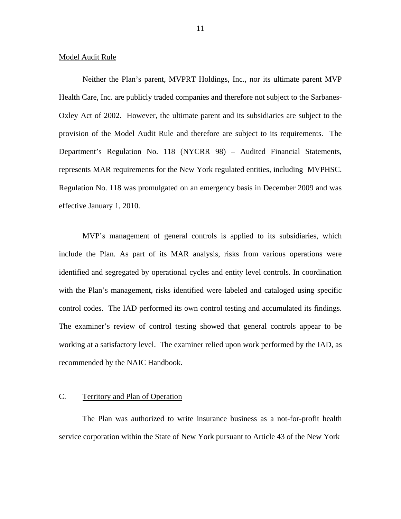#### <span id="page-12-0"></span>Model Audit Rule

Neither the Plan's parent, MVPRT Holdings, Inc., nor its ultimate parent MVP Health Care, Inc. are publicly traded companies and therefore not subject to the Sarbanes-Oxley Act of 2002. However, the ultimate parent and its subsidiaries are subject to the provision of the Model Audit Rule and therefore are subject to its requirements. The Department's Regulation No. 118 (NYCRR 98) – Audited Financial Statements, represents MAR requirements for the New York regulated entities, including MVPHSC. Regulation No. 118 was promulgated on an emergency basis in December 2009 and was effective January 1, 2010.

MVP's management of general controls is applied to its subsidiaries, which include the Plan. As part of its MAR analysis, risks from various operations were identified and segregated by operational cycles and entity level controls. In coordination with the Plan's management, risks identified were labeled and cataloged using specific control codes. The IAD performed its own control testing and accumulated its findings. The examiner's review of control testing showed that general controls appear to be working at a satisfactory level. The examiner relied upon work performed by the IAD, as recommended by the NAIC Handbook.

#### C. Territory and Plan of Operation

The Plan was authorized to write insurance business as a not-for-profit health service corporation within the State of New York pursuant to Article 43 of the New York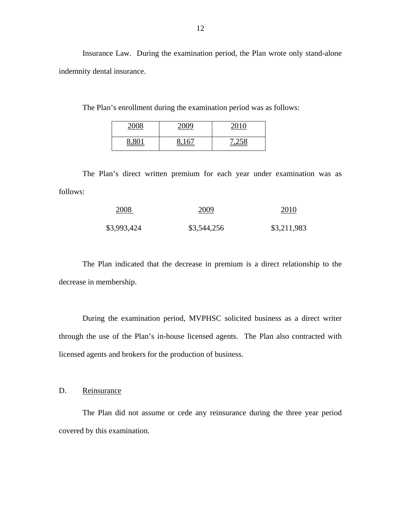Insurance Law. During the examination period, the Plan wrote only stand-alone indemnity dental insurance.

The Plan's enrollment during the examination period was as follows:

| 2000 | 2000           | 2010 |
|------|----------------|------|
|      | 1<br><u> {</u> | - 0  |

The Plan's direct written premium for each year under examination was as follows:

| 2008        | 2009        | 2010        |
|-------------|-------------|-------------|
| \$3,993,424 | \$3,544,256 | \$3,211,983 |

The Plan indicated that the decrease in premium is a direct relationship to the decrease in membership.

During the examination period, MVPHSC solicited business as a direct writer through the use of the Plan's in-house licensed agents. The Plan also contracted with licensed agents and brokers for the production of business.

D. Reinsurance

The Plan did not assume or cede any reinsurance during the three year period covered by this examination.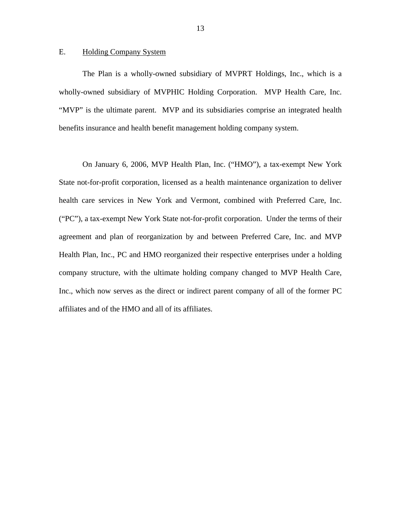#### <span id="page-14-0"></span>E. Holding Company System

The Plan is a wholly-owned subsidiary of MVPRT Holdings, Inc., which is a wholly-owned subsidiary of MVPHIC Holding Corporation. MVP Health Care, Inc. "MVP" is the ultimate parent. MVP and its subsidiaries comprise an integrated health benefits insurance and health benefit management holding company system.

On January 6, 2006, MVP Health Plan, Inc. ("HMO"), a tax-exempt New York State not-for-profit corporation, licensed as a health maintenance organization to deliver health care services in New York and Vermont, combined with Preferred Care, Inc. ("PC"), a tax-exempt New York State not-for-profit corporation. Under the terms of their agreement and plan of reorganization by and between Preferred Care, Inc. and MVP Health Plan, Inc., PC and HMO reorganized their respective enterprises under a holding company structure, with the ultimate holding company changed to MVP Health Care, Inc., which now serves as the direct or indirect parent company of all of the former PC affiliates and of the HMO and all of its affiliates.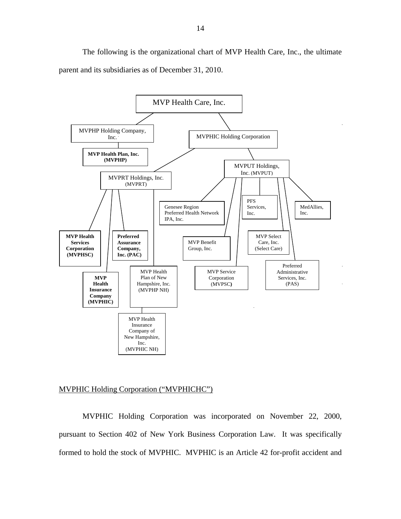The following is the organizational chart of MVP Health Care, Inc., the ultimate parent and its subsidiaries as of December 31, 2010.



#### MVPHIC Holding Corporation ("MVPHICHC")

MVPHIC Holding Corporation was incorporated on November 22, 2000, pursuant to Section 402 of New York Business Corporation Law. It was specifically formed to hold the stock of MVPHIC. MVPHIC is an Article 42 for-profit accident and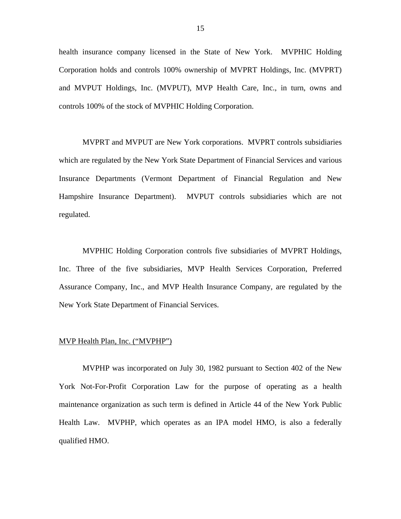health insurance company licensed in the State of New York. MVPHIC Holding Corporation holds and controls 100% ownership of MVPRT Holdings, Inc. (MVPRT) and MVPUT Holdings, Inc. (MVPUT), MVP Health Care, Inc., in turn, owns and controls 100% of the stock of MVPHIC Holding Corporation.

MVPRT and MVPUT are New York corporations. MVPRT controls subsidiaries which are regulated by the New York State Department of Financial Services and various Insurance Departments (Vermont Department of Financial Regulation and New Hampshire Insurance Department). MVPUT controls subsidiaries which are not regulated.

MVPHIC Holding Corporation controls five subsidiaries of MVPRT Holdings, Inc. Three of the five subsidiaries, MVP Health Services Corporation, Preferred Assurance Company, Inc., and MVP Health Insurance Company, are regulated by the New York State Department of Financial Services.

#### MVP Health Plan, Inc. ("MVPHP")

MVPHP was incorporated on July 30, 1982 pursuant to Section 402 of the New York Not-For-Profit Corporation Law for the purpose of operating as a health maintenance organization as such term is defined in Article 44 of the New York Public Health Law. MVPHP, which operates as an IPA model HMO, is also a federally qualified HMO.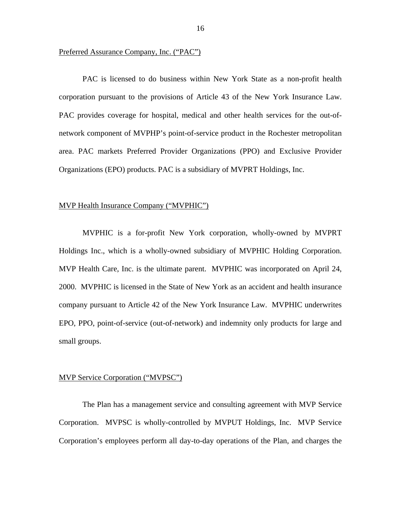#### Preferred Assurance Company, Inc. ("PAC")

PAC is licensed to do business within New York State as a non-profit health corporation pursuant to the provisions of Article 43 of the New York Insurance Law. PAC provides coverage for hospital, medical and other health services for the out-ofnetwork component of MVPHP's point-of-service product in the Rochester metropolitan area. PAC markets Preferred Provider Organizations (PPO) and Exclusive Provider Organizations (EPO) products. PAC is a subsidiary of MVPRT Holdings, Inc.

#### MVP Health Insurance Company ("MVPHIC")

MVPHIC is a for-profit New York corporation, wholly-owned by MVPRT Holdings Inc., which is a wholly-owned subsidiary of MVPHIC Holding Corporation. MVP Health Care, Inc. is the ultimate parent. MVPHIC was incorporated on April 24, 2000. MVPHIC is licensed in the State of New York as an accident and health insurance company pursuant to Article 42 of the New York Insurance Law. MVPHIC underwrites EPO, PPO, point-of-service (out-of-network) and indemnity only products for large and small groups.

#### MVP Service Corporation ("MVPSC")

The Plan has a management service and consulting agreement with MVP Service Corporation. MVPSC is wholly-controlled by MVPUT Holdings, Inc. MVP Service Corporation's employees perform all day-to-day operations of the Plan, and charges the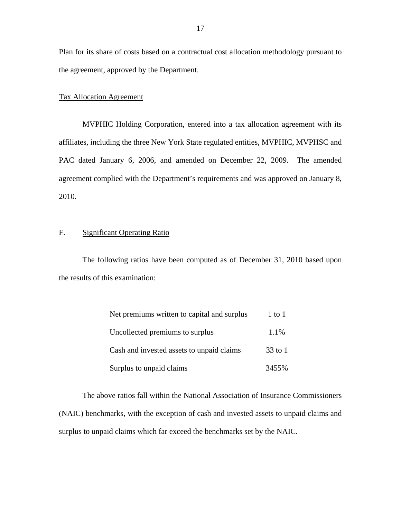Plan for its share of costs based on a contractual cost allocation methodology pursuant to the agreement, approved by the Department.

#### Tax Allocation Agreement

MVPHIC Holding Corporation, entered into a tax allocation agreement with its affiliates, including the three New York State regulated entities, MVPHIC, MVPHSC and PAC dated January 6, 2006, and amended on December 22, 2009. The amended agreement complied with the Department's requirements and was approved on January 8, 2010.

#### F. Significant Operating Ratio

The following ratios have been computed as of December 31, 2010 based upon the results of this examination:

| Net premiums written to capital and surplus | $1$ to $1$ |
|---------------------------------------------|------------|
| Uncollected premiums to surplus             | 1.1%       |
| Cash and invested assets to unpaid claims   | $33$ to 1  |
| Surplus to unpaid claims                    | 3455%      |

The above ratios fall within the National Association of Insurance Commissioners (NAIC) benchmarks, with the exception of cash and invested assets to unpaid claims and surplus to unpaid claims which far exceed the benchmarks set by the NAIC.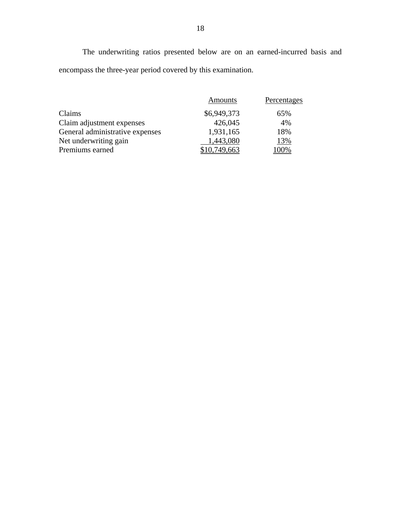The underwriting ratios presented below are on an earned-incurred basis and encompass the three-year period covered by this examination.

|                                 | Amounts      | Percentages |
|---------------------------------|--------------|-------------|
| Claims                          | \$6,949,373  | 65%         |
| Claim adjustment expenses       | 426,045      | 4%          |
| General administrative expenses | 1,931,165    | 18%         |
| Net underwriting gain           | 1,443,080    | 13%         |
| Premiums earned                 | \$10.749.663 | .00%        |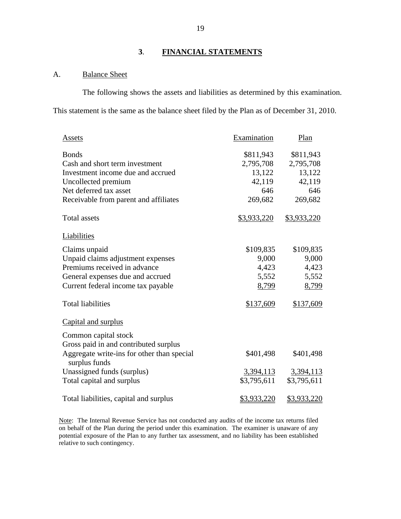## **3**. **FINANCIAL STATEMENTS**

### A. Balance Sheet

The following shows the assets and liabilities as determined by this examination. This statement is the same as the balance sheet filed by the Plan as of December 31, 2010.

| Assets                                                                                                                                                                                        | Examination                                                                 | Plan                                                                        |
|-----------------------------------------------------------------------------------------------------------------------------------------------------------------------------------------------|-----------------------------------------------------------------------------|-----------------------------------------------------------------------------|
| <b>Bonds</b><br>Cash and short term investment<br>Investment income due and accrued<br>Uncollected premium<br>Net deferred tax asset<br>Receivable from parent and affiliates<br>Total assets | \$811,943<br>2,795,708<br>13,122<br>42,119<br>646<br>269,682<br>\$3,933,220 | \$811,943<br>2,795,708<br>13,122<br>42,119<br>646<br>269,682<br>\$3,933,220 |
| Liabilities                                                                                                                                                                                   |                                                                             |                                                                             |
| Claims unpaid<br>Unpaid claims adjustment expenses<br>Premiums received in advance<br>General expenses due and accrued<br>Current federal income tax payable<br><b>Total liabilities</b>      | \$109,835<br>9,000<br>4,423<br>5,552<br>8,799<br>\$137,609                  | \$109,835<br>9,000<br>4,423<br>5,552<br>8,799<br>\$137,609                  |
| Capital and surplus                                                                                                                                                                           |                                                                             |                                                                             |
| Common capital stock<br>Gross paid in and contributed surplus<br>Aggregate write-ins for other than special<br>surplus funds<br>Unassigned funds (surplus)<br>Total capital and surplus       | \$401,498<br>3,394,113<br>\$3,795,611                                       | \$401,498<br>3,394,113<br>\$3,795,611                                       |
| Total liabilities, capital and surplus                                                                                                                                                        | <u>\$3,933,220</u>                                                          | <u>\$3,933,220</u>                                                          |

Note: The Internal Revenue Service has not conducted any audits of the income tax returns filed on behalf of the Plan during the period under this examination. The examiner is unaware of any potential exposure of the Plan to any further tax assessment, and no liability has been established relative to such contingency.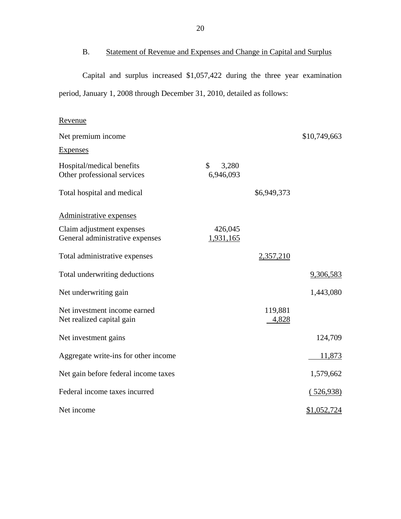B. Statement of Revenue and Expenses and Change in Capital and Surplus

Capital and surplus increased \$1,057,422 during the three year examination period, January 1, 2008 through December 31, 2010, detailed as follows:

| Revenue                                                      |                          |                  |              |
|--------------------------------------------------------------|--------------------------|------------------|--------------|
| Net premium income                                           |                          |                  | \$10,749,663 |
| <b>Expenses</b>                                              |                          |                  |              |
| Hospital/medical benefits<br>Other professional services     | \$<br>3,280<br>6,946,093 |                  |              |
| Total hospital and medical                                   |                          | \$6,949,373      |              |
| Administrative expenses                                      |                          |                  |              |
| Claim adjustment expenses<br>General administrative expenses | 426,045<br>1,931,165     |                  |              |
| Total administrative expenses                                |                          | 2,357,210        |              |
| Total underwriting deductions                                |                          |                  | 9,306,583    |
| Net underwriting gain                                        |                          |                  | 1,443,080    |
| Net investment income earned<br>Net realized capital gain    |                          | 119,881<br>4,828 |              |
| Net investment gains                                         |                          |                  | 124,709      |
| Aggregate write-ins for other income                         |                          |                  | 11,873       |
| Net gain before federal income taxes                         |                          |                  | 1,579,662    |
| Federal income taxes incurred                                |                          |                  | (526,938)    |
| Net income                                                   |                          |                  | \$1,052,724  |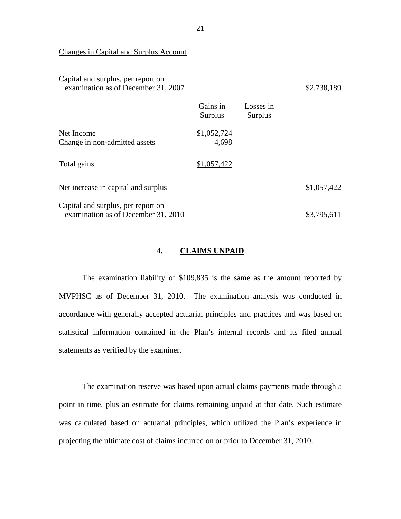Changes in Capital and Surplus Account

| Capital and surplus, per report on<br>examination as of December 31, 2007 |                            |                             | \$2,738,189 |
|---------------------------------------------------------------------------|----------------------------|-----------------------------|-------------|
|                                                                           | Gains in<br><b>Surplus</b> | Losses in<br><b>Surplus</b> |             |
| Net Income<br>Change in non-admitted assets                               | \$1,052,724<br>4,698       |                             |             |
| Total gains                                                               | \$1,057,422                |                             |             |
| Net increase in capital and surplus                                       |                            |                             | \$1,057,422 |
| Capital and surplus, per report on<br>examination as of December 31, 2010 |                            |                             | \$3.795.611 |

#### **4. CLAIMS UNPAID**

The examination liability of \$109,835 is the same as the amount reported by MVPHSC as of December 31, 2010. The examination analysis was conducted in accordance with generally accepted actuarial principles and practices and was based on statistical information contained in the Plan's internal records and its filed annual statements as verified by the examiner.

The examination reserve was based upon actual claims payments made through a point in time, plus an estimate for claims remaining unpaid at that date. Such estimate was calculated based on actuarial principles, which utilized the Plan's experience in projecting the ultimate cost of claims incurred on or prior to December 31, 2010.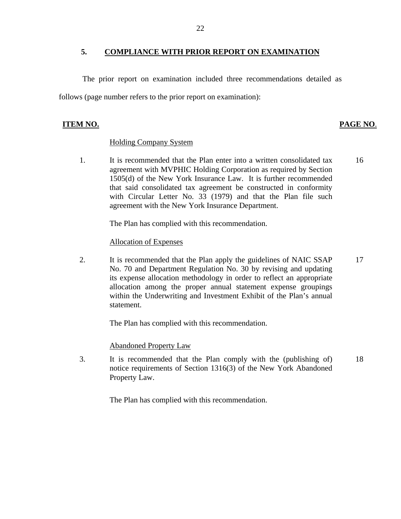#### **5. COMPLIANCE WITH PRIOR REPORT ON EXAMINATION**

The prior report on examination included three recommendations detailed as follows (page number refers to the prior report on examination):

### **ITEM NO. PAGE NO**.

#### Holding Company System

1. It is recommended that the Plan enter into a written consolidated tax agreement with MVPHIC Holding Corporation as required by Section 1505(d) of the New York Insurance Law. It is further recommended that said consolidated tax agreement be constructed in conformity with Circular Letter No. 33 (1979) and that the Plan file such agreement with the New York Insurance Department. 16

The Plan has complied with this recommendation.

#### Allocation of Expenses

2. It is recommended that the Plan apply the guidelines of NAIC SSAP No. 70 and Department Regulation No. 30 by revising and updating its expense allocation methodology in order to reflect an appropriate allocation among the proper annual statement expense groupings within the Underwriting and Investment Exhibit of the Plan's annual statement. 17

The Plan has complied with this recommendation.

#### **Abandoned Property Law**

3. It is recommended that the Plan comply with the (publishing of) notice requirements of Section 1316(3) of the New York Abandoned Property Law. 18

The Plan has complied with this recommendation.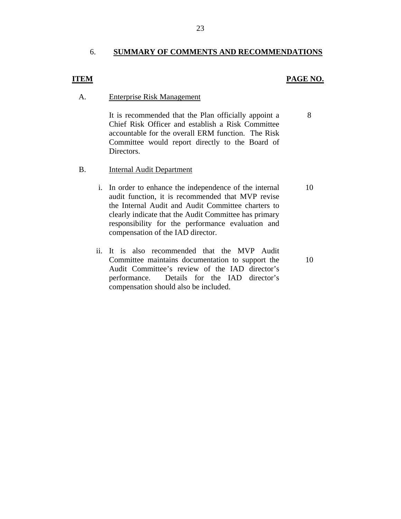#### 6. **SUMMARY OF COMMENTS AND RECOMMENDATIONS**

#### **ITEM**

#### **PAGE NO.**

8

#### A. Enterprise Risk Management

It is recommended that the Plan officially appoint a Chief Risk Officer and establish a Risk Committee accountable for the overall ERM function. The Risk Committee would report directly to the Board of Directors.

#### B. Internal Audit Department

- i. In order to enhance the independence of the internal audit function, it is recommended that MVP revise the Internal Audit and Audit Committee charters to clearly indicate that the Audit Committee has primary responsibility for the performance evaluation and compensation of the IAD director. 10
- ii. It is also recommended that the MVP Audit Committee maintains documentation to support the Audit Committee's review of the IAD director's performance. Details for the IAD director's compensation should also be included.

10